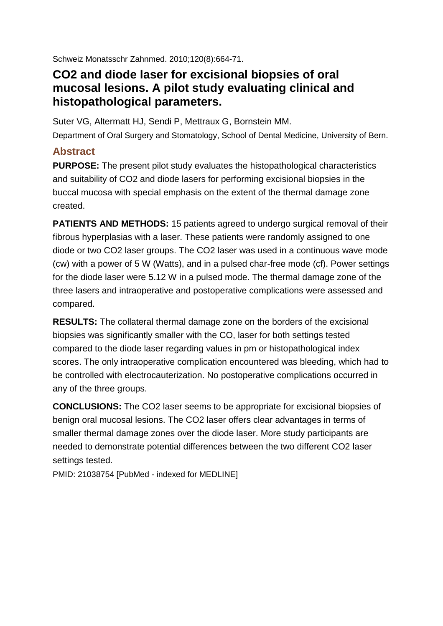[Schweiz Monatsschr Zahnmed.](javascript:AL_get(this,%20) 2010;120(8):664-71.

## **CO2 and diode laser for excisional biopsies of oral mucosal lesions. A pilot study evaluating clinical and histopathological parameters.**

[Suter VG,](http://www.ncbi.nlm.nih.gov/pubmed?term=%2522Suter%20VG%2522%255BAuthor%255D) [Altermatt HJ,](http://www.ncbi.nlm.nih.gov/pubmed?term=%2522Altermatt%20HJ%2522%255BAuthor%255D) [Sendi P,](http://www.ncbi.nlm.nih.gov/pubmed?term=%2522Sendi%20P%2522%255BAuthor%255D) [Mettraux G,](http://www.ncbi.nlm.nih.gov/pubmed?term=%2522Mettraux%20G%2522%255BAuthor%255D) [Bornstein MM.](http://www.ncbi.nlm.nih.gov/pubmed?term=%2522Bornstein%20MM%2522%255BAuthor%255D)

Department of Oral Surgery and Stomatology, School of Dental Medicine, University of Bern.

## **Abstract**

**PURPOSE:** The present pilot study evaluates the histopathological characteristics and suitability of CO2 and diode lasers for performing excisional biopsies in the buccal mucosa with special emphasis on the extent of the thermal damage zone created.

**PATIENTS AND METHODS:** 15 patients agreed to undergo surgical removal of their fibrous hyperplasias with a laser. These patients were randomly assigned to one diode or two CO2 laser groups. The CO2 laser was used in a continuous wave mode (cw) with a power of 5 W (Watts), and in a pulsed char-free mode (cf). Power settings for the diode laser were 5.12 W in a pulsed mode. The thermal damage zone of the three lasers and intraoperative and postoperative complications were assessed and compared.

**RESULTS:** The collateral thermal damage zone on the borders of the excisional biopsies was significantly smaller with the CO, laser for both settings tested compared to the diode laser regarding values in pm or histopathological index scores. The only intraoperative complication encountered was bleeding, which had to be controlled with electrocauterization. No postoperative complications occurred in any of the three groups.

**CONCLUSIONS:** The CO2 laser seems to be appropriate for excisional biopsies of benign oral mucosal lesions. The CO2 laser offers clear advantages in terms of smaller thermal damage zones over the diode laser. More study participants are needed to demonstrate potential differences between the two different CO2 laser settings tested.

PMID: 21038754 [PubMed - indexed for MEDLINE]